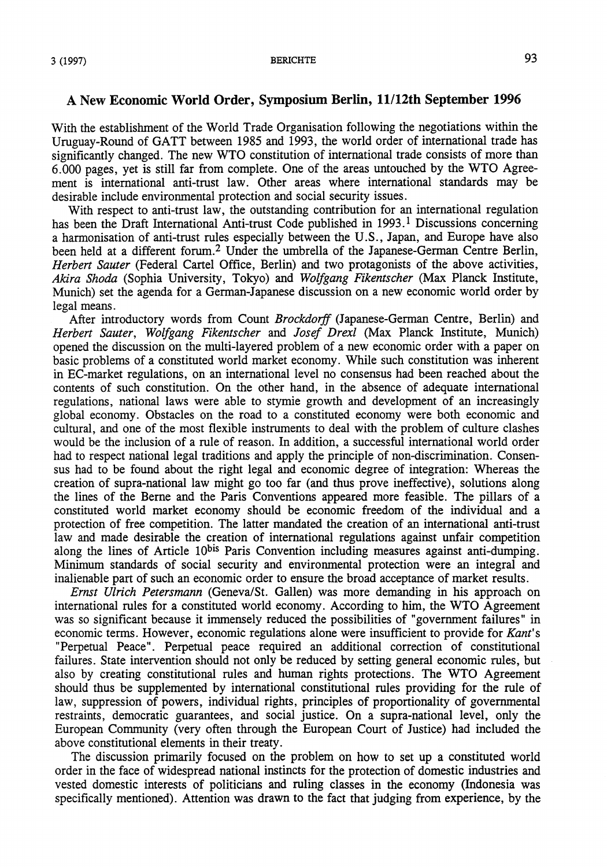$3(1997)$  BERICHTE

## A New **Economic World Order, Symposium Berlin, 11/12th September 1996**

With the establishment of the World Trade Organisation following the negotiations within the Uruguay-Round of GATT between 1985 and 1993, the world order of international trade has significantly changed. The new WTO constitution of international trade consists of more than 6.000 pages, yet is still far from complete. One of the areas untouched by the WTO Agreement is international anti-trust law. Other areas where international standards may be desirable include environmental protection and social security issues.

With respect to anti-trust law, the outstanding contribution for an international regulation has been the Draft International Anti-trust Code published in  $1993<sup>1</sup>$  Discussions concerning a harmonisation of anti-trust rules especially between the U.S., Japan, and Europe have also been held at a different forum. 2 Under the umbrella of the Japanese-German Centre Berlin, *Herbert Sauter* (Federal Cartel Office, Berlin) and two protagonists of the above activities, *Akira Shoda* (Sophia University, Tokyo) and *Wolfgang Fikentscher* (Max Planck Institute, Munich) set the agenda for a German-Japanese discussion on a new economic world order by legal means.

After introductory words from Count *Brockdorff* (Japanese-German Centre, Berlin) and *Herbert Sauter, Wolfgang Fikentscher* and *Josef Drexl* (Max Planck Institute, Munich) opened the discussion on the multi-layered problem of a new economic order with a paper on basic problems of a constituted world market economy. While such constitution was inherent in EC-market regulations, on an international level no consensus had been reached about the contents of such constitution. On the other hand, in the absence of adequate international regulations, national laws were able to stymie growth and development of an increasingly global economy. Obstacles on the road to a constituted economy were both economic and cultural, and one of the most flexible instruments to deal with the problem of culture clashes would be the inclusion of a rule of reason. In addition, a successful international world order had to respect national legal traditions and apply the principle of non-discrimination. Consensus had to be found about the right legal and economic degree of integration: Whereas the creation of supra-national law might go too far (and thus prove ineffective), solutions along the lines of the Berne and the Paris Conventions appeared more feasible. The pillars of a constituted world market economy should be economic freedom of the individual and a protection of free competition. The latter mandated the creation of an international anti-trust law and made desirable the creation of international regulations against unfair competition along the lines of Article 10<sup>bis</sup> Paris Convention including measures against anti-dumping. Minimum standards of social security and environmental protection were an integral and inalienable part of such an economic order to ensure the broad acceptance of market results.

*Ernst Ulrich Petersmann* (Geneva/St. Gallen) was more demanding in his approach on international rules for a constituted world economy. According to him, the WTO Agreement was so significant because it immensely reduced the possibilities of "government failures" in economic terms. However, economic regulations alone were insufficient to provide for *Kant's*  "Perpetual Peace". Perpetual peace required an additional correction of constitutional failures. State intervention should not only be reduced by setting general economic mies, but also by creating constitutional rules and human rights protections. The WTO Agreement should thus be supplemented by international constitutional rules providing for the rule of law, suppression of powers, individual rights, principles of proportionality of govemmental restraints, democratic guarantees, and social justice. On a supra-national level, only the European Community (very often through the European Court of Justice) had included the above constitutional elements in their treaty.

The discussion primarily focused on the problem on how to set up a constituted world order in the face of widespread national instincts for the protection of domestic industries and vested domestic interests of politicians and ruling classes in the economy (Indonesia was specifically mentioned). Attention was drawn to the fact that judging from experience, by the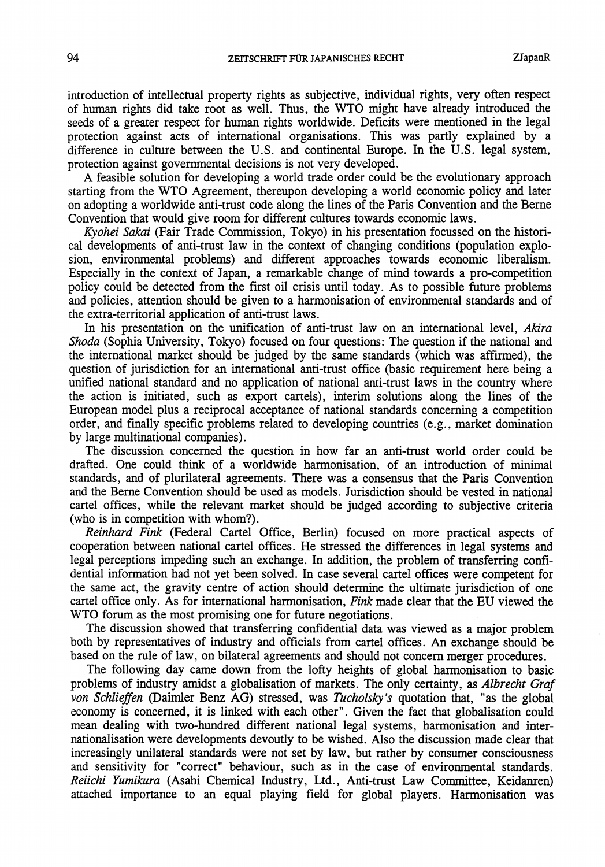introduction of intellectual property rights as subjective, individual rights, very often respect of human rights did take root as well. Thus, the WTO might have already introduced the seeds of a greater respect for human rights worldwide. Deficits were mentioned in the legal protection against: acts of international organisations. This was partly explained by a difference in culture between the U.S. and continental Europe. In the U.S. legal system, protection against govemmental decisions is not very developed.

A feasible solution for developing a world trade order could be the evolutionary approach starting from the WTO Agreement, thereupon developing a world economic policy and later on adopting a worldwide anti-trust code along the lines of the Paris Convention and the Berne Convention that would give room for different cultures towards economic laws.

*Kyohei Sakai* (Fair Trade Commission, Tokyo) in his presentation focussed on the historical developments of anti-trust law in the context of changing conditions (population explosion, environmental problems) and different approaches towards economic liberalism. Especially in the context of Japan, a remarkable change of mind towards a pro-competition policy could be detected from the first oil crisis until today. As to possible future problems and policies, attention should be given to a harmonisation of environmental standards and of the extra-territorial application of anti-trust laws.

In his presentation on the unification of anti-trust law on an international level, Akira *Shoda* (Sophia University, Tokyo) focused on four questions: The question if the national and the international market should be judged by the same standards (which was affirmed), the question of jurisdiction for an international anti-trust office (basic requirement here being a unified national standard and no application of national anti-trust laws in the country where the action is initiated, such as export cartels), interim solutions along the lines of the European model plus a reciprocal acceptance of national standards concerning a competition order, and finally specific problerns related to developing countries (e.g., market domination by large multinational companies).

The discussion concerned the question in how far an anti-trust world order could be drafted. One could think of a worldwide harmonisation, of an introduction of minimal standards, and of plurilateral agreements. There was a consensus that the Paris Convention and the Berne Convention should be used as models. Jurisdiction should be vested in national cartel offices, while the relevant market should be judged according to subjective criteria (who is in competition with whom?).

*Reinhard Fink* (Federal Cartel Office, Berlin) focused on more practical aspects of cooperation between national cartel offices. He stressed the differences in legal systerns and legal perceptions impeding such an exchange. In addition, the problem of transferring confidential information had not yet been solved. In case several cartel offices were competent for the same act, the gravity centre of action should determine the ultimate jurisdiction of one cartel office only. As for international harmonisation, *Fink* made clear that the EU viewed the WTO forum as the most promising one for future negotiations.

The discussion. showed that transferring confidential data was viewed as a major problem both by representatives of industry and officials from cartel offices. An exchange should be based on the rule of law, on bilateral agreements and should not concern merger procedures.

The following day came down from the lofty heights of global harmonisation to basic problerns of industry amidst a globalisation of markets. The only certainty, as *Albrecht Graf von Schlieffen* (Daimler Benz AG) stressed, was *Tucholsky's* quotation that, "as the global economy is concerned, it is linked with each other". Given the fact that globalisation could mean dealing with two-hundred different national legal systerns, harmonisation and internationalisation were developments devoutly tobe wished. Also the discussion rnade clear that increasingly unilateral standards were not set by law, but rather by consumer consciousness and sensitivity för "correct" behaviour, such as in the case of environmental standards. Reiichi Yumikura (Asahi Chemical Industry, Ltd., Anti-trust Law Committee, Keidanren) attached importance to an equal playing field for global players. Harmonisation was